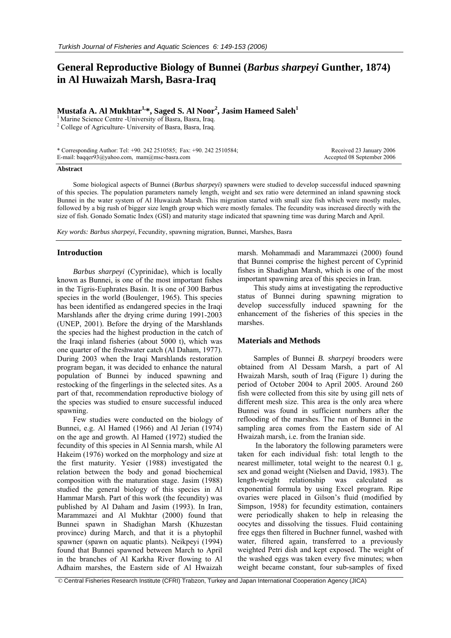# **General Reproductive Biology of Bunnei (***Barbus sharpeyi* **Gunther, 1874) in Al Huwaizah Marsh, Basra-Iraq**

# $\mathbf{M}$ ustafa A. Al  $\mathbf{M}$ ukhtar $^{1,\ast},$  Saged S. Al  $\mathbf{Noor}^2,$  Jasim Hameed Saleh $^1$

<sup>1</sup> Marine Science Centre -University of Basra, Basra, Iraq.

<sup>2</sup> College of Agriculture- University of Basra, Basra, Iraq.

| * Corresponding Author: Tel: $+90.2422510585$ ; Fax: $+90.2422510584$ ; | Received 23 January 2006   |
|-------------------------------------------------------------------------|----------------------------|
| E-mail: baqqer $93$ @yahoo.com, mam@msc-basra.com                       | Accepted 08 September 2006 |

#### **Abstract**

Some biological aspects of Bunnei (*Barbus sharpeyi*) spawners were studied to develop successful induced spawning of this species. The population parameters namely length, weight and sex ratio were determined an inland spawning stock Bunnei in the water system of Al Huwaizah Marsh. This migration started with small size fish which were mostly males, followed by a big rush of bigger size length group which were mostly females. The fecundity was increased directly with the size of fish. Gonado Somatic Index (GSI) and maturity stage indicated that spawning time was during March and April.

*Key words: Barbus sharpeyi*, Fecundity, spawning migration, Bunnei, Marshes, Basra

### **Introduction**

*Barbus sharpeyi* (Cyprinidae), which is locally known as Bunnei, is one of the most important fishes in the Tigris-Euphrates Basin. It is one of 300 Barbus species in the world (Boulenger, 1965). This species has been identified as endangered species in the Iraqi Marshlands after the drying crime during 1991-2003 (UNEP, 2001). Before the drying of the Marshlands the species had the highest production in the catch of the Iraqi inland fisheries (about 5000 t), which was one quarter of the freshwater catch (Al Daham, 1977). During 2003 when the Iraqi Marshlands restoration program began, it was decided to enhance the natural population of Bunnei by induced spawning and restocking of the fingerlings in the selected sites. As a part of that, recommendation reproductive biology of the species was studied to ensure successful induced spawning.

Few studies were conducted on the biology of Bunnei, e.g. Al Hamed (1966) and Al Jerian (1974) on the age and growth. Al Hamed (1972) studied the fecundity of this species in Al Sennia marsh, while Al Hakeim (1976) worked on the morphology and size at the first maturity. Yesier (1988) investigated the relation between the body and gonad biochemical composition with the maturation stage. Jasim (1988) studied the general biology of this species in Al Hammar Marsh. Part of this work (the fecundity) was published by Al Daham and Jasim (1993). In Iran, Marammazei and Al Mukhtar (2000) found that Bunnei spawn in Shadighan Marsh (Khuzestan province) during March, and that it is a phytophil spawner (spawn on aquatic plants). Neikpeyi (1994) found that Bunnei spawned between March to April in the branches of Al Karkha River flowing to Al Adhaim marshes, the Eastern side of Al Hwaizah

marsh. Mohammadi and Marammazei (2000) found that Bunnei comprise the highest percent of Cyprinid fishes in Shadighan Marsh, which is one of the most important spawning area of this species in Iran.

This study aims at investigating the reproductive status of Bunnei during spawning migration to develop successfully induced spawning for the enhancement of the fisheries of this species in the marshes.

### **Materials and Methods**

Samples of Bunnei *B. sharpeyi* brooders were obtained from Al Dessam Marsh, a part of Al Hwaizah Marsh, south of Iraq (Figure 1) during the period of October 2004 to April 2005. Around 260 fish were collected from this site by using gill nets of different mesh size. This area is the only area where Bunnei was found in sufficient numbers after the reflooding of the marshes. The run of Bunnei in the sampling area comes from the Eastern side of Al Hwaizah marsh, i.e. from the Iranian side.

 In the laboratory the following parameters were taken for each individual fish: total length to the nearest millimeter, total weight to the nearest 0.1 g, sex and gonad weight (Nielsen and David, 1983). The length-weight relationship was calculated as exponential formula by using Excel program. Ripe ovaries were placed in Gilson's fluid (modified by Simpson, 1958) for fecundity estimation, containers were periodically shaken to help in releasing the oocytes and dissolving the tissues. Fluid containing free eggs then filtered in Buchner funnel, washed with water, filtered again, transferred to a previously weighted Petri dish and kept exposed. The weight of the washed eggs was taken every five minutes; when weight became constant, four sub-samples of fixed

© Central Fisheries Research Institute (CFRI) Trabzon, Turkey and Japan International Cooperation Agency (JICA)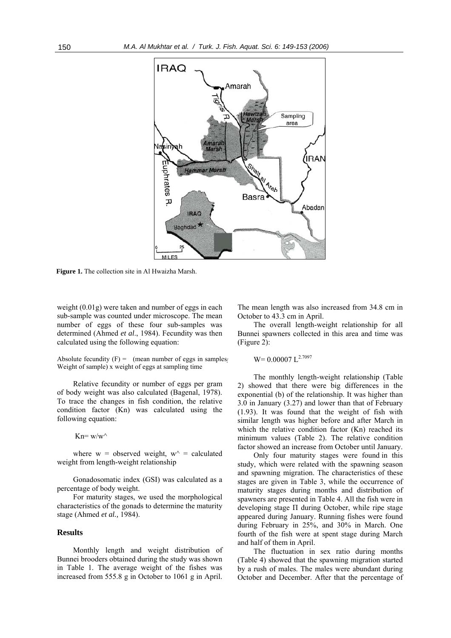

**Figure 1.** The collection site in Al Hwaizha Marsh.

weight (0.01g) were taken and number of eggs in each sub-sample was counted under microscope. The mean number of eggs of these four sub-samples was determined (Ahmed *et al*., 1984). Fecundity was then calculated using the following equation:

Absolute fecundity  $(F) =$  (mean number of eggs in samples) Weight of sample) x weight of eggs at sampling time

Relative fecundity or number of eggs per gram of body weight was also calculated (Bagenal, 1978). To trace the changes in fish condition, the relative condition factor (Kn) was calculated using the following equation:

 $Kn=$  w/w<sup> $\wedge$ </sup>

where  $w =$  observed weight,  $w^{\wedge} =$  calculated weight from length-weight relationship

Gonadosomatic index (GSI) was calculated as a percentage of body weight.

For maturity stages, we used the morphological characteristics of the gonads to determine the maturity stage (Ahmed *et al.,* 1984).

## **Results**

Monthly length and weight distribution of Bunnei brooders obtained during the study was shown in Table 1. The average weight of the fishes was increased from 555.8 g in October to 1061 g in April.

The mean length was also increased from 34.8 cm in October to 43.3 cm in April.

The overall length-weight relationship for all Bunnei spawners collected in this area and time was (Figure 2):

$$
W = 0.00007 L^{2.7097}
$$

The monthly length-weight relationship (Table 2) showed that there were big differences in the exponential (b) of the relationship. It was higher than 3.0 in January (3.27) and lower than that of February (1.93). It was found that the weight of fish with similar length was higher before and after March in which the relative condition factor (Kn) reached its minimum values (Table 2). The relative condition factor showed an increase from October until January.

Only four maturity stages were found in this study, which were related with the spawning season and spawning migration. The characteristics of these stages are given in Table 3, while the occurrence of maturity stages during months and distribution of spawners are presented in Table 4. All the fish were in developing stage Π during October, while ripe stage appeared during January. Running fishes were found during February in 25%, and 30% in March. One fourth of the fish were at spent stage during March and half of them in April.

The fluctuation in sex ratio during months (Table 4) showed that the spawning migration started by a rush of males. The males were abundant during October and December. After that the percentage of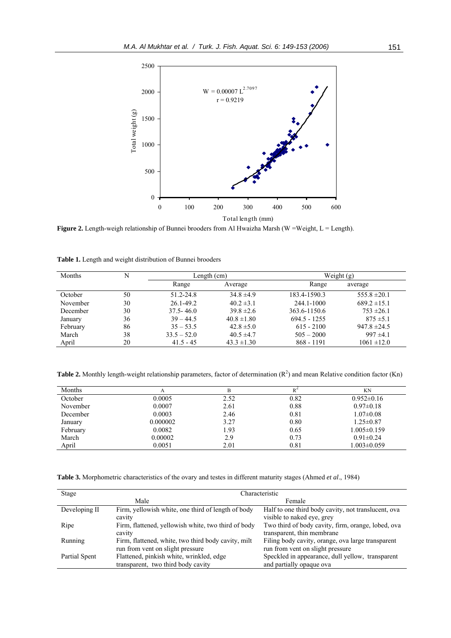

Figure 2. Length-weigh relationship of Bunnei brooders from Al Hwaizha Marsh (W =Weight, L = Length).

|  |  | Table 1. Length and weight distribution of Bunnei brooders |  |
|--|--|------------------------------------------------------------|--|
|  |  |                                                            |  |

| <b>Months</b> |    | Length (cm)   |                 | Weight $(g)$   |                  |
|---------------|----|---------------|-----------------|----------------|------------------|
|               |    | Range         | Average         | Range          | average          |
| October       | 50 | 51.2-24.8     | $34.8 \pm 4.9$  | 183.4-1590.3   | $555.8 \pm 20.1$ |
| November      | 30 | $26.1 - 49.2$ | $40.2 \pm 3.1$  | 244.1-1000     | $689.2 \pm 15.1$ |
| December      | 30 | $37.5 - 46.0$ | $39.8 \pm 2.6$  | 363.6-1150.6   | $753 \pm 26.1$   |
| January       | 36 | $39 - 44.5$   | $40.8 \pm 1.80$ | $694.5 - 1255$ | $875 \pm 5.1$    |
| February      | 86 | $35 - 53.5$   | $42.8 \pm 5.0$  | $615 - 2100$   | $947.8 \pm 24.5$ |
| March         | 38 | $33.5 - 52.0$ | $40.5 \pm 4.7$  | $505 - 2000$   | $997 \pm 4.1$    |
| April         | 20 | $41.5 - 45$   | $43.3 \pm 1.30$ | 868 - 1191     | $1061 \pm 12.0$  |

**Table 2.** Monthly length-weight relationship parameters, factor of determination  $(R^2)$  and mean Relative condition factor  $(Kn)$ 

| Months   | A        | В    |      | ΚN                |
|----------|----------|------|------|-------------------|
| October  | 0.0005   | 2.52 | 0.82 | $0.952 \pm 0.16$  |
| November | 0.0007   | 2.61 | 0.88 | $0.97 \pm 0.18$   |
| December | 0.0003   | 2.46 | 0.81 | $1.07 \pm 0.08$   |
| January  | 0.000002 | 3.27 | 0.80 | $1.25 \pm 0.87$   |
| February | 0.0082   | 1.93 | 0.65 | $1.005 \pm 0.159$ |
| March    | 0.00002  | 2.9  | 0.73 | $0.91 \pm 0.24$   |
| April    | 0.0051   | 2.01 | 0.81 | 1.003±0.059       |

**Table 3.** Morphometric characteristics of the ovary and testes in different maturity stages (Ahmed *et al*., 1984)

| <b>Stage</b>  | Characteristic                                      |                                                     |  |  |  |  |
|---------------|-----------------------------------------------------|-----------------------------------------------------|--|--|--|--|
|               | Male                                                | Female                                              |  |  |  |  |
| Developing II | Firm, yellowish white, one third of length of body  | Half to one third body cavity, not translucent, ova |  |  |  |  |
|               | cavity                                              | visible to naked eye, grey                          |  |  |  |  |
| Ripe          | Firm, flattened, yellowish white, two third of body | Two third of body cavity, firm, orange, lobed, ova  |  |  |  |  |
|               | cavity                                              | transparent, thin membrane                          |  |  |  |  |
| Running       | Firm, flattened, white, two third body cavity, milt | Filing body cavity, orange, ova large transparent   |  |  |  |  |
|               | run from vent on slight pressure                    | run from vent on slight pressure                    |  |  |  |  |
| Partial Spent | Flattened, pinkish white, wrinkled, edge            | Speckled in appearance, dull yellow, transparent    |  |  |  |  |
|               | transparent, two third body cavity                  | and partially opaque ova                            |  |  |  |  |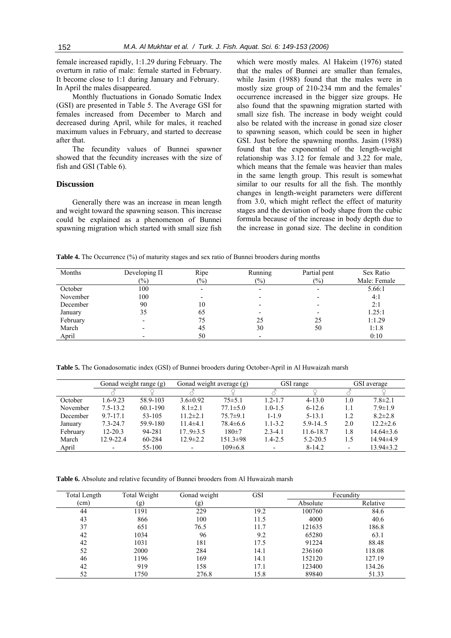female increased rapidly, 1:1.29 during February. The overturn in ratio of male: female started in February. It become close to 1:1 during January and February. In April the males disappeared.

Monthly fluctuations in Gonado Somatic Index (GSI) are presented in Table 5. The Average GSI for females increased from December to March and decreased during April, while for males, it reached maximum values in February, and started to decrease after that.

The fecundity values of Bunnei spawner showed that the fecundity increases with the size of fish and GSI (Table 6).

### **Discussion**

Generally there was an increase in mean length and weight toward the spawning season. This increase could be explained as a phenomenon of Bunnei spawning migration which started with small size fish which were mostly males. Al Hakeim (1976) stated that the males of Bunnei are smaller than females, while Jasim (1988) found that the males were in mostly size group of 210-234 mm and the females' occurrence increased in the bigger size groups. He also found that the spawning migration started with small size fish. The increase in body weight could also be related with the increase in gonad size closer to spawning season, which could be seen in higher GSI. Just before the spawning months. Jasim (1988) found that the exponential of the length-weight relationship was 3.12 for female and 3.22 for male, which means that the female was heavier than males in the same length group. This result is somewhat similar to our results for all the fish. The monthly changes in length-weight parameters were different from 3.0, which might reflect the effect of maturity stages and the deviation of body shape from the cubic formula because of the increase in body depth due to the increase in gonad size. The decline in condition

**Table 4.** The Occurrence (%) of maturity stages and sex ratio of Bunnei brooders during months

| Months   | Developing $\Pi$<br>$(\%)$ | Ripe<br>$(\%)$ | Running<br>$(\%)$        | Partial pent<br>(9/0) | Sex Ratio<br>Male: Female |
|----------|----------------------------|----------------|--------------------------|-----------------------|---------------------------|
| October  | 100                        |                | $\overline{\phantom{0}}$ |                       | 5.66:1                    |
| November | 100                        |                |                          |                       | 4:1                       |
| December | 90                         | 10             |                          |                       | 2:1                       |
| January  | 35                         | 65             |                          |                       | 1.25:1                    |
| February |                            | 75             | 25                       | 25                    | 1:1.29                    |
| March    |                            | 45             | 30                       | 50                    | 1:1.8                     |
| April    |                            | 50             | $\overline{\phantom{0}}$ |                       | 0:10                      |

**Table 5.** The Gonadosomatic index (GSI) of Bunnei brooders during October-April in Al Huwaizah marsh

|          |                          | Gonad weight average (g)<br>Gonad weight range (g) |                          |                |                          | GSI range    | GSI average              |                 |
|----------|--------------------------|----------------------------------------------------|--------------------------|----------------|--------------------------|--------------|--------------------------|-----------------|
|          |                          |                                                    |                          |                |                          |              |                          |                 |
| October  | $1.6 - 9.23$             | 58.9-103                                           | $3.6\pm0.92$             | $75 \pm 5.1$   | $1.2 - 1.7$              | $4 - 13.0$   | 1.0                      | $7.8 \pm 2.1$   |
| November | $7.5 - 13.2$             | 60.1-190                                           | $8.1 \pm 2.1$            | $77.1 \pm 5.0$ | $1.0 - 1.5$              | $6 - 12.6$   | 1.1                      | $7.9 \pm 1.9$   |
| December | $9.7 - 17.1$             | 53-105                                             | $11.2 \pm 2.1$           | $75.7 \pm 9.1$ | $1 - 1.9$                | $5 - 13.1$   | 1.2                      | $8.2 \pm 2.8$   |
| January  | $7.3 - 24.7$             | 59.9-180                                           | $11.4\pm4.1$             | $78.4 \pm 6.6$ | $1.1 - 3.2$              | $5.9 - 14.5$ | 2.0                      | $12.2 \pm 2.6$  |
| February | $12 - 20.3$              | 94-281                                             | $17.9 \pm 3.5$           | $180+7$        | $2.3 - 4.1$              | 11.6-18.7    | 1.8                      | $14.64\pm3.6$   |
| March    | 12.9-22.4                | 60-284                                             | $12.9 \pm 2.2$           | $151.3 \pm 98$ | $1.4 - 2.5$              | $5.2 - 20.5$ | 1.5                      | $14.94\pm4.9$   |
| April    | $\overline{\phantom{0}}$ | 55-100                                             | $\overline{\phantom{0}}$ | $109 \pm 6.8$  | $\overline{\phantom{0}}$ | $8-14.2$     | $\overline{\phantom{0}}$ | $13.94 \pm 3.2$ |

**Table 6.** Absolute and relative fecundity of Bunnei brooders from Al Huwaizah marsh

| Total Length | Total Weight | Gonad weight | <b>GSI</b> | Fecundity |          |  |
|--------------|--------------|--------------|------------|-----------|----------|--|
| (cm)         | (g)          | (g)          |            | Absolute  | Relative |  |
| 44           | 1191         | 229          | 19.2       | 100760    | 84.6     |  |
| 43           | 866          | 100          | 11.5       | 4000      | 40.6     |  |
| 37           | 651          | 76.5         | 11.7       | 121635    | 186.8    |  |
| 42           | 1034         | 96           | 9.2        | 65280     | 63.1     |  |
| 42           | 1031         | 181          | 17.5       | 91224     | 88.48    |  |
| 52           | 2000         | 284          | 14.1       | 236160    | 118.08   |  |
| 46           | 1196         | 169          | 14.1       | 152120    | 127.19   |  |
| 42           | 919          | 158          | 17.1       | 123400    | 134.26   |  |
| 52           | 1750         | 276.8        | 15.8       | 89840     | 51.33    |  |